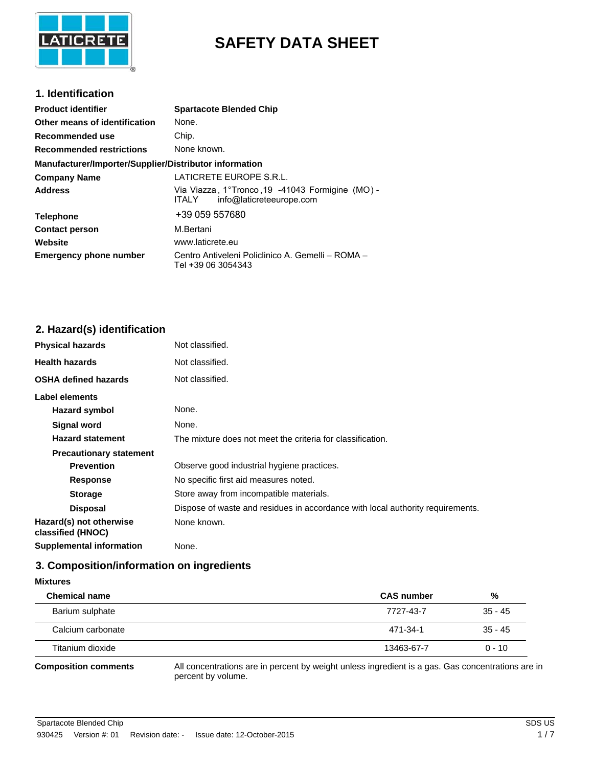

# **SAFETY DATA SHEET**

#### **1. Identification**

| <b>Product identifier</b>                              | <b>Spartacote Blended Chip</b>                                                                |
|--------------------------------------------------------|-----------------------------------------------------------------------------------------------|
| Other means of identification                          | None.                                                                                         |
| Recommended use                                        | Chip.                                                                                         |
| <b>Recommended restrictions</b>                        | None known.                                                                                   |
| Manufacturer/Importer/Supplier/Distributor information |                                                                                               |
| <b>Company Name</b>                                    | LATICRETE EUROPE S.R.L.                                                                       |
| <b>Address</b>                                         | Via Viazza, 1°Tronco, 19 - 41043 Formigine (MO) -<br>info@laticreteeurope.com<br><b>ITALY</b> |
| <b>Telephone</b>                                       | +39 059 557680                                                                                |
| <b>Contact person</b>                                  | M.Bertani                                                                                     |
| Website                                                | www.laticrete.eu                                                                              |
| <b>Emergency phone number</b>                          | Centro Antiveleni Policlinico A. Gemelli - ROMA -<br>Tel +39 06 3054343                       |

## **2. Hazard(s) identification**

| <b>Physical hazards</b>                      | Not classified.                                                                |
|----------------------------------------------|--------------------------------------------------------------------------------|
| <b>Health hazards</b>                        | Not classified.                                                                |
| <b>OSHA defined hazards</b>                  | Not classified.                                                                |
| Label elements                               |                                                                                |
| Hazard symbol                                | None.                                                                          |
| Signal word                                  | None.                                                                          |
| <b>Hazard statement</b>                      | The mixture does not meet the criteria for classification.                     |
| <b>Precautionary statement</b>               |                                                                                |
| <b>Prevention</b>                            | Observe good industrial hygiene practices.                                     |
| <b>Response</b>                              | No specific first aid measures noted.                                          |
| <b>Storage</b>                               | Store away from incompatible materials.                                        |
| <b>Disposal</b>                              | Dispose of waste and residues in accordance with local authority requirements. |
| Hazard(s) not otherwise<br>classified (HNOC) | None known.                                                                    |
| <b>Supplemental information</b>              | None.                                                                          |

## **3. Composition/information on ingredients**

| <b>Mixtures</b>             |                                                                                           |           |
|-----------------------------|-------------------------------------------------------------------------------------------|-----------|
| <b>Chemical name</b>        | <b>CAS</b> number                                                                         | %         |
| Barium sulphate             | 7727-43-7                                                                                 | $35 - 45$ |
| Calcium carbonate           | 471-34-1                                                                                  | $35 - 45$ |
| Titanium dioxide            | 13463-67-7                                                                                | $0 - 10$  |
| <b>Composition comments</b> | All concentrations are in percent by weight unless ingredient is a gas. Gas concentration |           |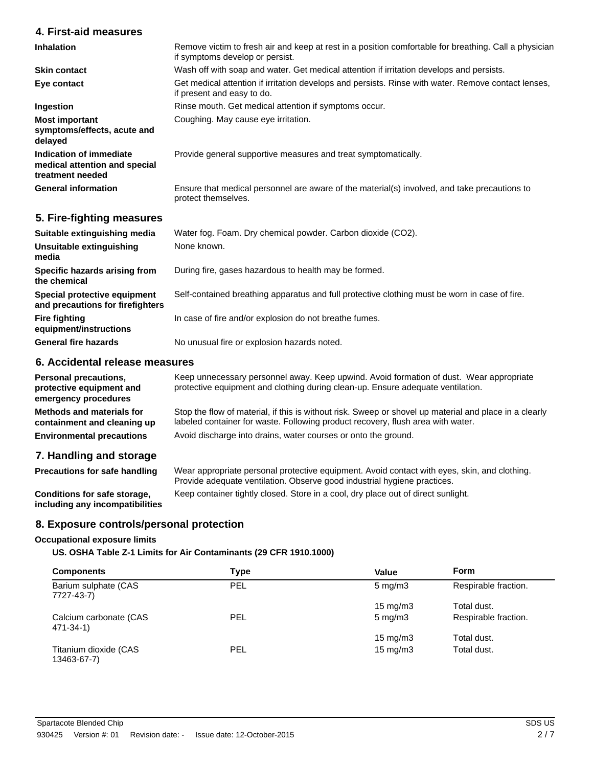## **4. First-aid measures**

| <b>Inhalation</b>                                                            | Remove victim to fresh air and keep at rest in a position comfortable for breathing. Call a physician<br>if symptoms develop or persist. |
|------------------------------------------------------------------------------|------------------------------------------------------------------------------------------------------------------------------------------|
| <b>Skin contact</b>                                                          | Wash off with soap and water. Get medical attention if irritation develops and persists.                                                 |
| Eye contact                                                                  | Get medical attention if irritation develops and persists. Rinse with water. Remove contact lenses,<br>if present and easy to do.        |
| Ingestion                                                                    | Rinse mouth. Get medical attention if symptoms occur.                                                                                    |
| <b>Most important</b><br>symptoms/effects, acute and<br>delayed              | Coughing. May cause eye irritation.                                                                                                      |
| Indication of immediate<br>medical attention and special<br>treatment needed | Provide general supportive measures and treat symptomatically.                                                                           |
| <b>General information</b>                                                   | Ensure that medical personnel are aware of the material(s) involved, and take precautions to<br>protect themselves.                      |
|                                                                              |                                                                                                                                          |

#### **5. Fire-fighting measures**

| Suitable extinguishing media                                     | Water fog. Foam. Dry chemical powder. Carbon dioxide (CO2).                                   |
|------------------------------------------------------------------|-----------------------------------------------------------------------------------------------|
| Unsuitable extinguishing<br>media                                | None known.                                                                                   |
| Specific hazards arising from<br>the chemical                    | During fire, gases hazardous to health may be formed.                                         |
| Special protective equipment<br>and precautions for firefighters | Self-contained breathing apparatus and full protective clothing must be worn in case of fire. |
| <b>Fire fighting</b><br>equipment/instructions                   | In case of fire and/or explosion do not breathe fumes.                                        |
| <b>General fire hazards</b>                                      | No unusual fire or explosion hazards noted.                                                   |

## **6. Accidental release measures**

| <b>Personal precautions,</b><br>protective equipment and<br>emergency procedures | Keep unnecessary personnel away. Keep upwind. Avoid formation of dust. Wear appropriate<br>protective equipment and clothing during clean-up. Ensure adequate ventilation.                |
|----------------------------------------------------------------------------------|-------------------------------------------------------------------------------------------------------------------------------------------------------------------------------------------|
| Methods and materials for<br>containment and cleaning up                         | Stop the flow of material, if this is without risk. Sweep or shovel up material and place in a clearly<br>labeled container for waste. Following product recovery, flush area with water. |
| <b>Environmental precautions</b>                                                 | Avoid discharge into drains, water courses or onto the ground.                                                                                                                            |
| 7. Handling and storage                                                          |                                                                                                                                                                                           |

Wear appropriate personal protective equipment. Avoid contact with eyes, skin, and clothing. Provide adequate ventilation. Observe good industrial hygiene practices. **Precautions for safe handling**

**Conditions for safe storage,** Keep container tightly closed. Store in a cool, dry place out of direct sunlight. **including any incompatibilities**

### **8. Exposure controls/personal protection**

#### **Occupational exposure limits**

**US. OSHA Table Z-1 Limits for Air Contaminants (29 CFR 1910.1000)**

| <b>Components</b>                    | Type       | Value              | Form                 |
|--------------------------------------|------------|--------------------|----------------------|
| Barium sulphate (CAS<br>7727-43-7)   | <b>PEL</b> | $5 \text{ mg/m}$ 3 | Respirable fraction. |
|                                      |            | 15 mg/m $3$        | Total dust.          |
| Calcium carbonate (CAS<br>471-34-1)  | <b>PEL</b> | $5 \text{ mg/m}$ 3 | Respirable fraction. |
|                                      |            | 15 mg/m $3$        | Total dust.          |
| Titanium dioxide (CAS<br>13463-67-7) | <b>PEL</b> | $15 \text{ mg/m}$  | Total dust.          |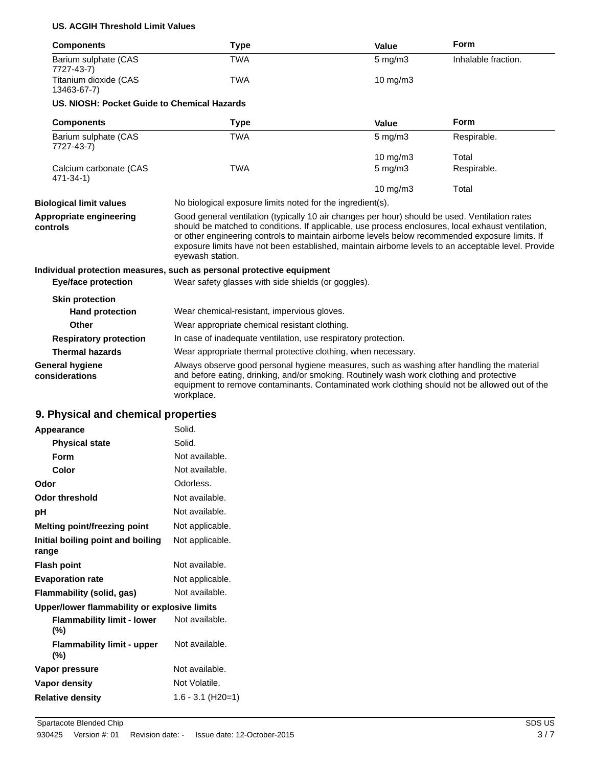#### **US. ACGIH Threshold Limit Values**

| <b>Components</b>                           | <b>Type</b>                                                                                                                                                                                                                                                                                                                                                                                                                        | Value              | Form                |
|---------------------------------------------|------------------------------------------------------------------------------------------------------------------------------------------------------------------------------------------------------------------------------------------------------------------------------------------------------------------------------------------------------------------------------------------------------------------------------------|--------------------|---------------------|
| Barium sulphate (CAS<br>7727-43-7)          | <b>TWA</b>                                                                                                                                                                                                                                                                                                                                                                                                                         | $5 \text{ mg/m}$ 3 | Inhalable fraction. |
| Titanium dioxide (CAS<br>13463-67-7)        | <b>TWA</b>                                                                                                                                                                                                                                                                                                                                                                                                                         | $10$ mg/m $3$      |                     |
| US. NIOSH: Pocket Guide to Chemical Hazards |                                                                                                                                                                                                                                                                                                                                                                                                                                    |                    |                     |
| <b>Components</b>                           | <b>Type</b>                                                                                                                                                                                                                                                                                                                                                                                                                        | Value              | <b>Form</b>         |
| Barium sulphate (CAS<br>7727-43-7)          | <b>TWA</b>                                                                                                                                                                                                                                                                                                                                                                                                                         | $5 \text{ mg/m}$ 3 | Respirable.         |
|                                             |                                                                                                                                                                                                                                                                                                                                                                                                                                    | $10$ mg/m $3$      | Total               |
| Calcium carbonate (CAS<br>471-34-1)         | <b>TWA</b>                                                                                                                                                                                                                                                                                                                                                                                                                         | $5 \text{ mg/m}$ 3 | Respirable.         |
|                                             |                                                                                                                                                                                                                                                                                                                                                                                                                                    | 10 mg/m3           | Total               |
| <b>Biological limit values</b>              | No biological exposure limits noted for the ingredient(s).                                                                                                                                                                                                                                                                                                                                                                         |                    |                     |
| Appropriate engineering<br>controls         | Good general ventilation (typically 10 air changes per hour) should be used. Ventilation rates<br>should be matched to conditions. If applicable, use process enclosures, local exhaust ventilation,<br>or other engineering controls to maintain airborne levels below recommended exposure limits. If<br>exposure limits have not been established, maintain airborne levels to an acceptable level. Provide<br>eyewash station. |                    |                     |
|                                             | Individual protection measures, such as personal protective equipment                                                                                                                                                                                                                                                                                                                                                              |                    |                     |
| <b>Eye/face protection</b>                  | Wear safety glasses with side shields (or goggles).                                                                                                                                                                                                                                                                                                                                                                                |                    |                     |
| <b>Skin protection</b>                      |                                                                                                                                                                                                                                                                                                                                                                                                                                    |                    |                     |
| <b>Hand protection</b>                      | Wear chemical-resistant, impervious gloves.                                                                                                                                                                                                                                                                                                                                                                                        |                    |                     |
| Other                                       | Wear appropriate chemical resistant clothing.                                                                                                                                                                                                                                                                                                                                                                                      |                    |                     |
| <b>Respiratory protection</b>               | In case of inadequate ventilation, use respiratory protection.                                                                                                                                                                                                                                                                                                                                                                     |                    |                     |
| <b>Thermal hazards</b>                      | Wear appropriate thermal protective clothing, when necessary.                                                                                                                                                                                                                                                                                                                                                                      |                    |                     |
| <b>General hygiene</b><br>considerations    | Always observe good personal hygiene measures, such as washing after handling the material<br>and before eating, drinking, and/or smoking. Routinely wash work clothing and protective<br>equipment to remove contaminants. Contaminated work clothing should not be allowed out of the<br>workplace.                                                                                                                              |                    |                     |

## **9. Physical and chemical properties**

| Appearance                                   | Solid.            |
|----------------------------------------------|-------------------|
| <b>Physical state</b>                        | Solid.            |
| Form                                         | Not available.    |
| Color                                        | Not available.    |
| Odor                                         | Odorless.         |
| <b>Odor threshold</b>                        | Not available.    |
| рH                                           | Not available.    |
| Melting point/freezing point                 | Not applicable.   |
| Initial boiling point and boiling<br>range   | Not applicable.   |
| <b>Flash point</b>                           | Not available.    |
| <b>Evaporation rate</b>                      | Not applicable.   |
| Flammability (solid, gas)                    | Not available.    |
| Upper/lower flammability or explosive limits |                   |
| <b>Flammability limit - lower</b><br>(%)     | Not available.    |
| <b>Flammability limit - upper</b><br>(%)     | Not available.    |
| Vapor pressure                               | Not available.    |
| <b>Vapor density</b>                         | Not Volatile.     |
| <b>Relative density</b>                      | 1.6 - 3.1 (H20=1) |
|                                              |                   |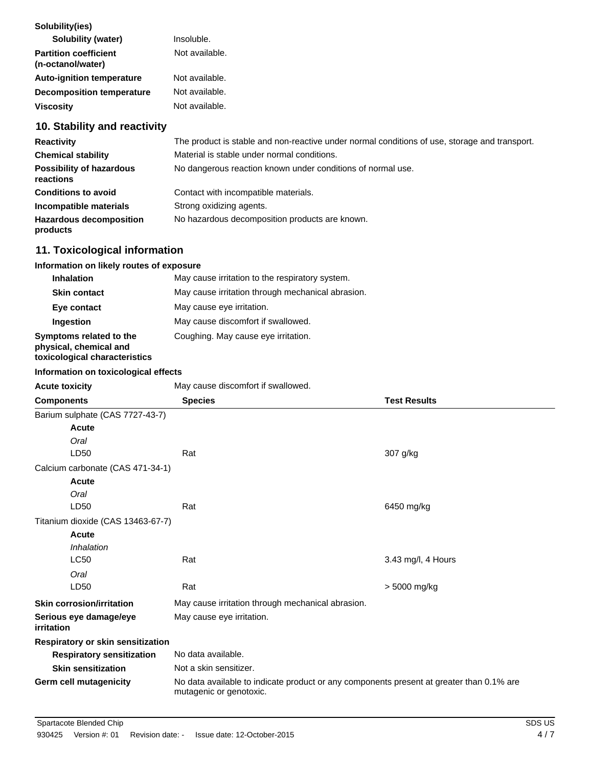## **10. Stability and reactivity**

| <b>Reactivity</b>                            | The product is stable and non-reactive under normal conditions of use, storage and transport. |
|----------------------------------------------|-----------------------------------------------------------------------------------------------|
| <b>Chemical stability</b>                    | Material is stable under normal conditions.                                                   |
| <b>Possibility of hazardous</b><br>reactions | No dangerous reaction known under conditions of normal use.                                   |
| <b>Conditions to avoid</b>                   | Contact with incompatible materials.                                                          |
| Incompatible materials                       | Strong oxidizing agents.                                                                      |
| <b>Hazardous decomposition</b><br>products   | No hazardous decomposition products are known.                                                |

## **11. Toxicological information**

| Information on likely routes of exposure                                           |                                                   |
|------------------------------------------------------------------------------------|---------------------------------------------------|
| <b>Inhalation</b>                                                                  | May cause irritation to the respiratory system.   |
| <b>Skin contact</b>                                                                | May cause irritation through mechanical abrasion. |
| Eye contact                                                                        | May cause eye irritation.                         |
| Ingestion                                                                          | May cause discomfort if swallowed.                |
| Symptoms related to the<br>physical, chemical and<br>toxicological characteristics | Coughing. May cause eye irritation.               |

#### **Information on toxicological effects**

| <b>Acute toxicity</b>                | May cause discomfort if swallowed.                                                                                  |                     |  |
|--------------------------------------|---------------------------------------------------------------------------------------------------------------------|---------------------|--|
| <b>Components</b>                    | <b>Species</b>                                                                                                      | <b>Test Results</b> |  |
| Barium sulphate (CAS 7727-43-7)      |                                                                                                                     |                     |  |
| Acute                                |                                                                                                                     |                     |  |
| Oral                                 |                                                                                                                     |                     |  |
| LD50                                 | Rat                                                                                                                 | 307 g/kg            |  |
| Calcium carbonate (CAS 471-34-1)     |                                                                                                                     |                     |  |
| Acute                                |                                                                                                                     |                     |  |
| Oral                                 |                                                                                                                     |                     |  |
| LD50                                 | Rat                                                                                                                 | 6450 mg/kg          |  |
| Titanium dioxide (CAS 13463-67-7)    |                                                                                                                     |                     |  |
| Acute                                |                                                                                                                     |                     |  |
| Inhalation                           |                                                                                                                     |                     |  |
| <b>LC50</b>                          | Rat                                                                                                                 | 3.43 mg/l, 4 Hours  |  |
| Oral                                 |                                                                                                                     |                     |  |
| LD50                                 | Rat                                                                                                                 | > 5000 mg/kg        |  |
| <b>Skin corrosion/irritation</b>     | May cause irritation through mechanical abrasion.                                                                   |                     |  |
| Serious eye damage/eye<br>irritation | May cause eye irritation.                                                                                           |                     |  |
| Respiratory or skin sensitization    |                                                                                                                     |                     |  |
| <b>Respiratory sensitization</b>     | No data available.                                                                                                  |                     |  |
| <b>Skin sensitization</b>            | Not a skin sensitizer.                                                                                              |                     |  |
| Germ cell mutagenicity               | No data available to indicate product or any components present at greater than 0.1% are<br>mutagenic or genotoxic. |                     |  |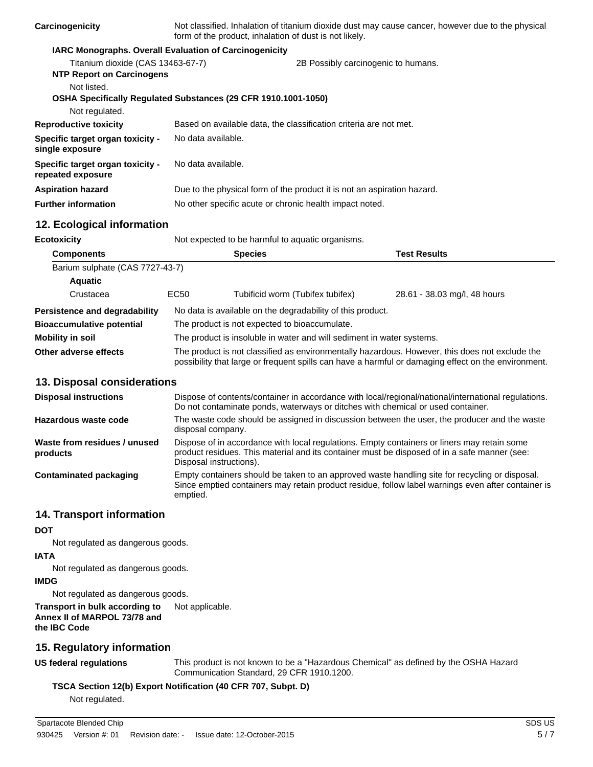| Carcinogenicity                                              | Not classified. Inhalation of titanium dioxide dust may cause cancer, however due to the physical<br>form of the product, inhalation of dust is not likely. |  |
|--------------------------------------------------------------|-------------------------------------------------------------------------------------------------------------------------------------------------------------|--|
|                                                              | <b>IARC Monographs. Overall Evaluation of Carcinogenicity</b>                                                                                               |  |
| Titanium dioxide (CAS 13463-67-7)                            | 2B Possibly carcinogenic to humans.                                                                                                                         |  |
| <b>NTP Report on Carcinogens</b>                             |                                                                                                                                                             |  |
| Not listed.                                                  |                                                                                                                                                             |  |
|                                                              | OSHA Specifically Regulated Substances (29 CFR 1910.1001-1050)                                                                                              |  |
| Not regulated.                                               |                                                                                                                                                             |  |
| <b>Reproductive toxicity</b>                                 | Based on available data, the classification criteria are not met.                                                                                           |  |
| <b>Specific target organ toxicity -</b><br>single exposure   | No data available.                                                                                                                                          |  |
| <b>Specific target organ toxicity -</b><br>repeated exposure | No data available.                                                                                                                                          |  |
| Aspiration hazard                                            | Due to the physical form of the product it is not an aspiration hazard.                                                                                     |  |
| <b>Further information</b>                                   | No other specific acute or chronic health impact noted.                                                                                                     |  |
|                                                              |                                                                                                                                                             |  |

## **12. Ecological information**

| <b>Ecotoxicity</b>                   | Not expected to be harmful to aquatic organisms.                                                                                                                                                      |                                                            |                              |
|--------------------------------------|-------------------------------------------------------------------------------------------------------------------------------------------------------------------------------------------------------|------------------------------------------------------------|------------------------------|
| <b>Components</b>                    |                                                                                                                                                                                                       | <b>Species</b>                                             | <b>Test Results</b>          |
| Barium sulphate (CAS 7727-43-7)      |                                                                                                                                                                                                       |                                                            |                              |
| <b>Aquatic</b>                       |                                                                                                                                                                                                       |                                                            |                              |
| Crustacea                            | EC <sub>50</sub>                                                                                                                                                                                      | Tubificid worm (Tubifex tubifex)                           | 28.61 - 38.03 mg/l, 48 hours |
| <b>Persistence and degradability</b> |                                                                                                                                                                                                       | No data is available on the degradability of this product. |                              |
| <b>Bioaccumulative potential</b>     | The product is not expected to bioaccumulate.                                                                                                                                                         |                                                            |                              |
| Mobility in soil                     | The product is insoluble in water and will sediment in water systems.                                                                                                                                 |                                                            |                              |
| Other adverse effects                | The product is not classified as environmentally hazardous. However, this does not exclude the<br>possibility that large or frequent spills can have a harmful or damaging effect on the environment. |                                                            |                              |

#### **13. Disposal considerations**

| <b>Disposal instructions</b>             | Dispose of contents/container in accordance with local/regional/national/international regulations.<br>Do not contaminate ponds, waterways or ditches with chemical or used container.                                 |
|------------------------------------------|------------------------------------------------------------------------------------------------------------------------------------------------------------------------------------------------------------------------|
| Hazardous waste code                     | The waste code should be assigned in discussion between the user, the producer and the waste<br>disposal company.                                                                                                      |
| Waste from residues / unused<br>products | Dispose of in accordance with local regulations. Empty containers or liners may retain some<br>product residues. This material and its container must be disposed of in a safe manner (see:<br>Disposal instructions). |
| Contaminated packaging                   | Empty containers should be taken to an approved waste handling site for recycling or disposal.<br>Since emptied containers may retain product residue, follow label warnings even after container is<br>emptied.       |

#### **14. Transport information**

#### **DOT**

Not regulated as dangerous goods.

**IATA**

Not regulated as dangerous goods.

#### **IMDG**

Not regulated as dangerous goods.

**Transport in bulk according to** Not applicable. **Annex II of MARPOL 73/78 and the IBC Code**

## **15. Regulatory information**

**US federal regulations**

This product is not known to be a "Hazardous Chemical" as defined by the OSHA Hazard Communication Standard, 29 CFR 1910.1200.

### **TSCA Section 12(b) Export Notification (40 CFR 707, Subpt. D)**

Not regulated.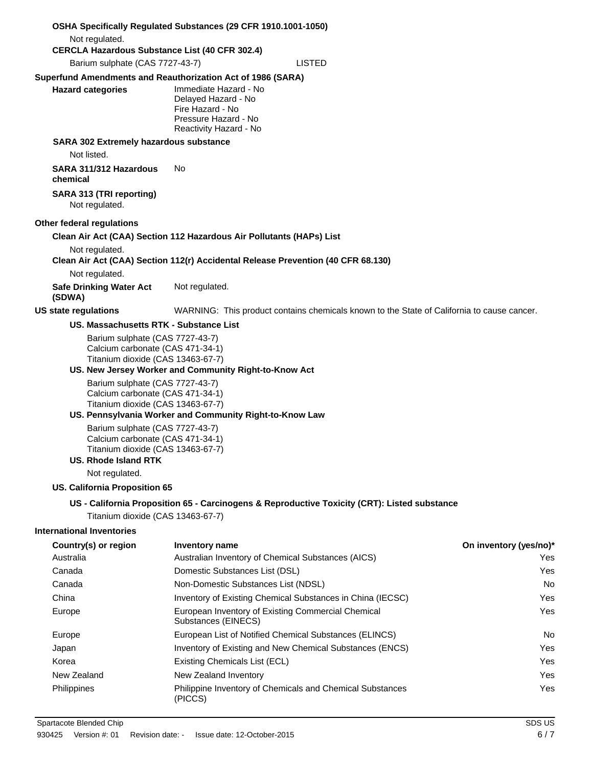|                                                                                                                                                                                                                                                                                                                                                                                                                    | OSHA Specifically Regulated Substances (29 CFR 1910.1001-1050)                                                                                                                    |                               |
|--------------------------------------------------------------------------------------------------------------------------------------------------------------------------------------------------------------------------------------------------------------------------------------------------------------------------------------------------------------------------------------------------------------------|-----------------------------------------------------------------------------------------------------------------------------------------------------------------------------------|-------------------------------|
| Not regulated.                                                                                                                                                                                                                                                                                                                                                                                                     |                                                                                                                                                                                   |                               |
| <b>CERCLA Hazardous Substance List (40 CFR 302.4)</b><br>Barium sulphate (CAS 7727-43-7)                                                                                                                                                                                                                                                                                                                           | <b>LISTED</b>                                                                                                                                                                     |                               |
|                                                                                                                                                                                                                                                                                                                                                                                                                    |                                                                                                                                                                                   |                               |
| <b>Hazard categories</b>                                                                                                                                                                                                                                                                                                                                                                                           | Superfund Amendments and Reauthorization Act of 1986 (SARA)<br>Immediate Hazard - No<br>Delayed Hazard - No<br>Fire Hazard - No<br>Pressure Hazard - No<br>Reactivity Hazard - No |                               |
| SARA 302 Extremely hazardous substance<br>Not listed.                                                                                                                                                                                                                                                                                                                                                              |                                                                                                                                                                                   |                               |
| SARA 311/312 Hazardous<br>chemical                                                                                                                                                                                                                                                                                                                                                                                 | No.                                                                                                                                                                               |                               |
| SARA 313 (TRI reporting)<br>Not regulated.                                                                                                                                                                                                                                                                                                                                                                         |                                                                                                                                                                                   |                               |
| Other federal regulations                                                                                                                                                                                                                                                                                                                                                                                          |                                                                                                                                                                                   |                               |
|                                                                                                                                                                                                                                                                                                                                                                                                                    | Clean Air Act (CAA) Section 112 Hazardous Air Pollutants (HAPs) List                                                                                                              |                               |
| Not regulated.                                                                                                                                                                                                                                                                                                                                                                                                     |                                                                                                                                                                                   |                               |
|                                                                                                                                                                                                                                                                                                                                                                                                                    | Clean Air Act (CAA) Section 112(r) Accidental Release Prevention (40 CFR 68.130)                                                                                                  |                               |
| Not regulated.<br><b>Safe Drinking Water Act</b><br>(SDWA)                                                                                                                                                                                                                                                                                                                                                         | Not regulated.                                                                                                                                                                    |                               |
| <b>US state regulations</b>                                                                                                                                                                                                                                                                                                                                                                                        | WARNING: This product contains chemicals known to the State of California to cause cancer.                                                                                        |                               |
| US. Massachusetts RTK - Substance List                                                                                                                                                                                                                                                                                                                                                                             |                                                                                                                                                                                   |                               |
| Barium sulphate (CAS 7727-43-7)<br>Calcium carbonate (CAS 471-34-1)<br>Titanium dioxide (CAS 13463-67-7)<br>Barium sulphate (CAS 7727-43-7)<br>Calcium carbonate (CAS 471-34-1)<br>Titanium dioxide (CAS 13463-67-7)<br>Barium sulphate (CAS 7727-43-7)<br>Calcium carbonate (CAS 471-34-1)<br>Titanium dioxide (CAS 13463-67-7)<br><b>US. Rhode Island RTK</b><br>Not regulated.<br>US. California Proposition 65 | US. New Jersey Worker and Community Right-to-Know Act<br>US. Pennsylvania Worker and Community Right-to-Know Law                                                                  |                               |
|                                                                                                                                                                                                                                                                                                                                                                                                                    | US - California Proposition 65 - Carcinogens & Reproductive Toxicity (CRT): Listed substance                                                                                      |                               |
| Titanium dioxide (CAS 13463-67-7)                                                                                                                                                                                                                                                                                                                                                                                  |                                                                                                                                                                                   |                               |
| <b>International Inventories</b>                                                                                                                                                                                                                                                                                                                                                                                   |                                                                                                                                                                                   |                               |
| Country(s) or region<br>Australia                                                                                                                                                                                                                                                                                                                                                                                  | <b>Inventory name</b><br>Australian Inventory of Chemical Substances (AICS)                                                                                                       | On inventory (yes/no)*<br>Yes |
| Canada                                                                                                                                                                                                                                                                                                                                                                                                             | Domestic Substances List (DSL)                                                                                                                                                    | Yes.                          |
| Canada                                                                                                                                                                                                                                                                                                                                                                                                             | Non-Domestic Substances List (NDSL)                                                                                                                                               | No                            |
| China                                                                                                                                                                                                                                                                                                                                                                                                              | Inventory of Existing Chemical Substances in China (IECSC)                                                                                                                        | Yes                           |
| Europe                                                                                                                                                                                                                                                                                                                                                                                                             | European Inventory of Existing Commercial Chemical<br>Substances (EINECS)                                                                                                         | Yes                           |
| Europe                                                                                                                                                                                                                                                                                                                                                                                                             | European List of Notified Chemical Substances (ELINCS)                                                                                                                            | No                            |
| Japan                                                                                                                                                                                                                                                                                                                                                                                                              | Inventory of Existing and New Chemical Substances (ENCS)                                                                                                                          | Yes                           |
| Korea                                                                                                                                                                                                                                                                                                                                                                                                              | Existing Chemicals List (ECL)                                                                                                                                                     | Yes                           |
| New Zealand                                                                                                                                                                                                                                                                                                                                                                                                        | New Zealand Inventory                                                                                                                                                             | Yes.                          |
| Philippines                                                                                                                                                                                                                                                                                                                                                                                                        | Philippine Inventory of Chemicals and Chemical Substances<br>(PICCS)                                                                                                              | Yes                           |